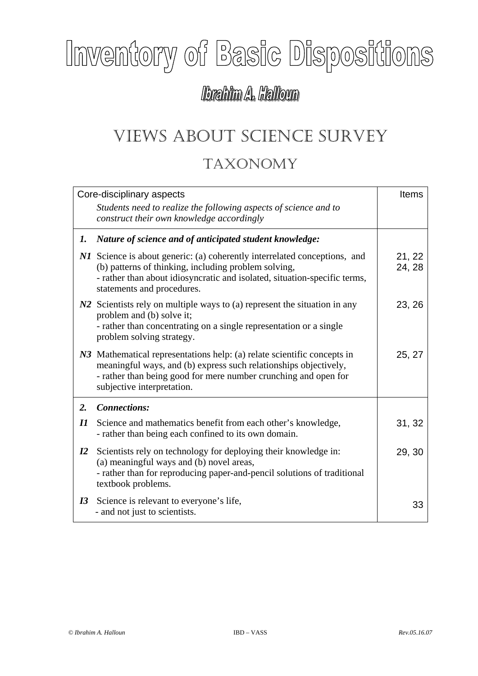## Inventory of Basic Dispositions

## lbrahim A. Halloun

## VIEWS ABOUT SCIENCE SURVEY TAXONOMY

| Core-disciplinary aspects  |                                                                                                                                                                                                                                              | Items            |
|----------------------------|----------------------------------------------------------------------------------------------------------------------------------------------------------------------------------------------------------------------------------------------|------------------|
|                            | Students need to realize the following aspects of science and to<br>construct their own knowledge accordingly                                                                                                                                |                  |
| 1.                         | Nature of science and of anticipated student knowledge:                                                                                                                                                                                      |                  |
|                            | NI Science is about generic: (a) coherently interrelated conceptions, and<br>(b) patterns of thinking, including problem solving,<br>- rather than about idiosyncratic and isolated, situation-specific terms,<br>statements and procedures. | 21, 22<br>24, 28 |
|                            | N2 Scientists rely on multiple ways to (a) represent the situation in any<br>problem and (b) solve it;<br>- rather than concentrating on a single representation or a single<br>problem solving strategy.                                    | 23, 26           |
|                            | N3 Mathematical representations help: (a) relate scientific concepts in<br>meaningful ways, and (b) express such relationships objectively,<br>- rather than being good for mere number crunching and open for<br>subjective interpretation. | 25, 27           |
| 2.                         | <b>Connections:</b>                                                                                                                                                                                                                          |                  |
| $\boldsymbol{\mathit{II}}$ | Science and mathematics benefit from each other's knowledge,<br>- rather than being each confined to its own domain.                                                                                                                         | 31, 32           |
| $\mathbf{I2}$              | Scientists rely on technology for deploying their knowledge in:<br>(a) meaningful ways and (b) novel areas,<br>- rather than for reproducing paper-and-pencil solutions of traditional<br>textbook problems.                                 | 29, 30           |
| I3                         | Science is relevant to everyone's life,<br>- and not just to scientists.                                                                                                                                                                     | 33               |